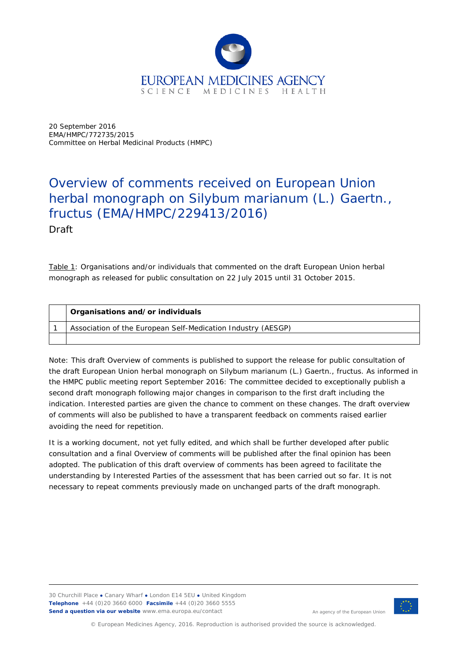

20 September 2016 EMA/HMPC/772735/2015 Committee on Herbal Medicinal Products (HMPC)

## Overview of comments received on European Union herbal monograph on *Silybum marianum* (L.) Gaertn., fructus (EMA/HMPC/229413/2016) Draft

Table 1: Organisations and/or individuals that commented on the draft European Union herbal monograph as released for public consultation on 22 July 2015 until 31 October 2015.

| Organisations and/or individuals                             |
|--------------------------------------------------------------|
| Association of the European Self-Medication Industry (AESGP) |
|                                                              |

Note: This draft Overview of comments is published to support the release for public consultation of the draft European Union herbal monograph on *Silybum marianum* (L.) Gaertn., fructus. As informed in the HMPC public meeting report September 2016: The committee decided to exceptionally publish a second draft monograph following major changes in comparison to the first draft including the indication. Interested parties are given the chance to comment on these changes. The draft overview of comments will also be published to have a transparent feedback on comments raised earlier avoiding the need for repetition.

It is a working document, not yet fully edited, and which shall be further developed after public consultation and a final Overview of comments will be published after the final opinion has been adopted. The publication of this draft overview of comments has been agreed to facilitate the understanding by Interested Parties of the assessment that has been carried out so far. It is not necessary to repeat comments previously made on unchanged parts of the draft monograph.

30 Churchill Place **●** Canary Wharf **●** London E14 5EU **●** United Kingdom **Telephone** +44 (0)20 3660 6000 **Facsimile** +44 (0)20 3660 5555 **Send a question via our website** www.ema.europa.eu/contact



An agency of the European Union

© European Medicines Agency, 2016. Reproduction is authorised provided the source is acknowledged.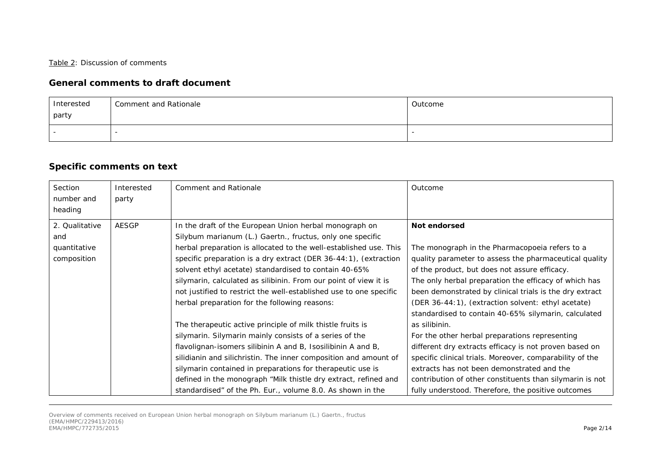## Table 2: Discussion of comments

## **General comments to draft document**

| Interested | Comment and Rationale | Outcome |
|------------|-----------------------|---------|
| party      |                       |         |
|            |                       |         |

## **Specific comments on text**

| Section<br>number and<br>heading                     | Interested<br>party | Comment and Rationale                                                                                                                                                                                                                                                                                                                                                                                                                                                                                                                                                                                                                                                                                                                                                                                                                                                                                                                                                        | Outcome                                                                                                                                                                                                                                                                                                                                                                                                                                                                                                                                                                                                                                                                                                                                                              |
|------------------------------------------------------|---------------------|------------------------------------------------------------------------------------------------------------------------------------------------------------------------------------------------------------------------------------------------------------------------------------------------------------------------------------------------------------------------------------------------------------------------------------------------------------------------------------------------------------------------------------------------------------------------------------------------------------------------------------------------------------------------------------------------------------------------------------------------------------------------------------------------------------------------------------------------------------------------------------------------------------------------------------------------------------------------------|----------------------------------------------------------------------------------------------------------------------------------------------------------------------------------------------------------------------------------------------------------------------------------------------------------------------------------------------------------------------------------------------------------------------------------------------------------------------------------------------------------------------------------------------------------------------------------------------------------------------------------------------------------------------------------------------------------------------------------------------------------------------|
| 2. Qualitative<br>and<br>quantitative<br>composition | <b>AESGP</b>        | In the draft of the European Union herbal monograph on<br>Silybum marianum (L.) Gaertn., fructus, only one specific<br>herbal preparation is allocated to the well-established use. This<br>specific preparation is a dry extract (DER 36-44:1), (extraction<br>solvent ethyl acetate) standardised to contain 40-65%<br>silymarin, calculated as silibinin. From our point of view it is<br>not justified to restrict the well-established use to one specific<br>herbal preparation for the following reasons:<br>The therapeutic active principle of milk thistle fruits is<br>silymarin. Silymarin mainly consists of a series of the<br>flavolignan-isomers silibinin A and B, Isosilibinin A and B,<br>silidianin and silichristin. The inner composition and amount of<br>silymarin contained in preparations for therapeutic use is<br>defined in the monograph "Milk thistle dry extract, refined and<br>standardised" of the Ph. Eur., volume 8.0. As shown in the | Not endorsed<br>The monograph in the Pharmacopoeia refers to a<br>quality parameter to assess the pharmaceutical quality<br>of the product, but does not assure efficacy.<br>The only herbal preparation the efficacy of which has<br>been demonstrated by clinical trials is the dry extract<br>(DER 36-44:1), (extraction solvent: ethyl acetate)<br>standardised to contain 40-65% silymarin, calculated<br>as silibinin.<br>For the other herbal preparations representing<br>different dry extracts efficacy is not proven based on<br>specific clinical trials. Moreover, comparability of the<br>extracts has not been demonstrated and the<br>contribution of other constituents than silymarin is not<br>fully understood. Therefore, the positive outcomes |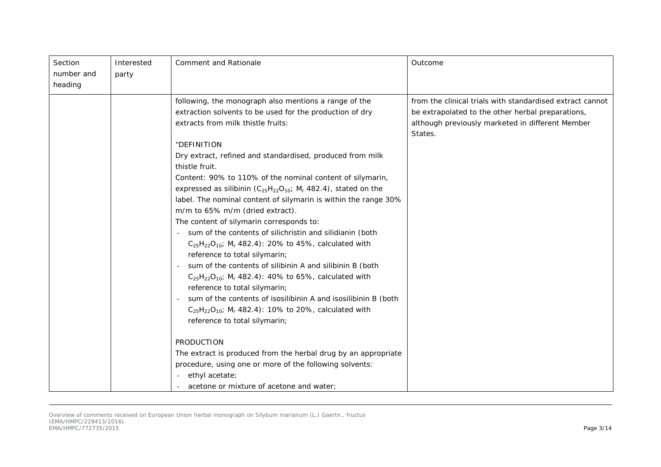| Section<br>number and<br>heading | Interested<br>party | <b>Comment and Rationale</b>                                                                                                                                                                                                                                                                                                                                                                                                                                                                                                                                                                                                                                                                                                                                                                                                                                                                                                                                                                                                                                                                                  | Outcome                                                                                                                                                                       |
|----------------------------------|---------------------|---------------------------------------------------------------------------------------------------------------------------------------------------------------------------------------------------------------------------------------------------------------------------------------------------------------------------------------------------------------------------------------------------------------------------------------------------------------------------------------------------------------------------------------------------------------------------------------------------------------------------------------------------------------------------------------------------------------------------------------------------------------------------------------------------------------------------------------------------------------------------------------------------------------------------------------------------------------------------------------------------------------------------------------------------------------------------------------------------------------|-------------------------------------------------------------------------------------------------------------------------------------------------------------------------------|
|                                  |                     | following, the monograph also mentions a range of the<br>extraction solvents to be used for the production of dry<br>extracts from milk thistle fruits:<br>"DEFINITION<br>Dry extract, refined and standardised, produced from milk<br>thistle fruit.<br>Content: 90% to 110% of the nominal content of silymarin,<br>expressed as silibinin $(C_{25}H_{22}O_{10}$ ; M <sub>r</sub> 482.4), stated on the<br>label. The nominal content of silymarin is within the range 30%<br>m/m to 65% m/m (dried extract).<br>The content of silymarin corresponds to:<br>sum of the contents of silichristin and silidianin (both<br>$C_{25}H_{22}O_{10}$ ; M <sub>r</sub> 482.4): 20% to 45%, calculated with<br>reference to total silymarin;<br>sum of the contents of silibinin A and silibinin B (both<br>$C_{25}H_{22}O_{10}$ ; M <sub>r</sub> 482.4): 40% to 65%, calculated with<br>reference to total silymarin;<br>sum of the contents of <i>isosilibinin A</i> and <i>isosilibinin B</i> (both<br>$C_{25}H_{22}O_{10}$ ; M <sub>r</sub> 482.4): 10% to 20%, calculated with<br>reference to total silymarin; | from the clinical trials with standardised extract cannot<br>be extrapolated to the other herbal preparations,<br>although previously marketed in different Member<br>States. |
|                                  |                     | PRODUCTION<br>The extract is produced from the herbal drug by an appropriate<br>procedure, using one or more of the following solvents:<br>ethyl acetate;<br>acetone or mixture of acetone and water;                                                                                                                                                                                                                                                                                                                                                                                                                                                                                                                                                                                                                                                                                                                                                                                                                                                                                                         |                                                                                                                                                                               |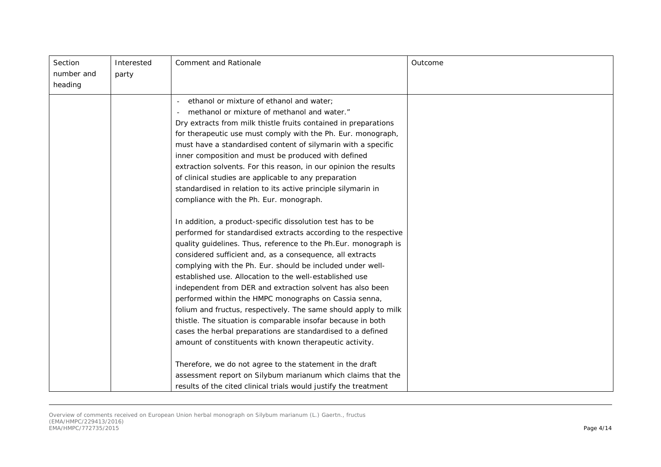| Section<br>number and<br>heading | Interested<br>party | Comment and Rationale                                                                                                                                                                                                                                                                                                                                                                                                                                                                                                                                                                                                                                                                                                                                                     | Outcome |
|----------------------------------|---------------------|---------------------------------------------------------------------------------------------------------------------------------------------------------------------------------------------------------------------------------------------------------------------------------------------------------------------------------------------------------------------------------------------------------------------------------------------------------------------------------------------------------------------------------------------------------------------------------------------------------------------------------------------------------------------------------------------------------------------------------------------------------------------------|---------|
|                                  |                     | ethanol or mixture of ethanol and water;<br>methanol or mixture of methanol and water."<br>Dry extracts from milk thistle fruits contained in preparations<br>for therapeutic use must comply with the Ph. Eur. monograph,<br>must have a standardised content of silymarin with a specific<br>inner composition and must be produced with defined<br>extraction solvents. For this reason, in our opinion the results<br>of clinical studies are applicable to any preparation<br>standardised in relation to its active principle silymarin in<br>compliance with the Ph. Eur. monograph.                                                                                                                                                                               |         |
|                                  |                     | In addition, a product-specific dissolution test has to be<br>performed for standardised extracts according to the respective<br>quality guidelines. Thus, reference to the Ph.Eur. monograph is<br>considered sufficient and, as a consequence, all extracts<br>complying with the Ph. Eur. should be included under well-<br>established use. Allocation to the well-established use<br>independent from DER and extraction solvent has also been<br>performed within the HMPC monographs on Cassia senna,<br>folium and fructus, respectively. The same should apply to milk<br>thistle. The situation is comparable insofar because in both<br>cases the herbal preparations are standardised to a defined<br>amount of constituents with known therapeutic activity. |         |
|                                  |                     | Therefore, we do not agree to the statement in the draft<br>assessment report on Silybum marianum which claims that the<br>results of the cited clinical trials would justify the treatment                                                                                                                                                                                                                                                                                                                                                                                                                                                                                                                                                                               |         |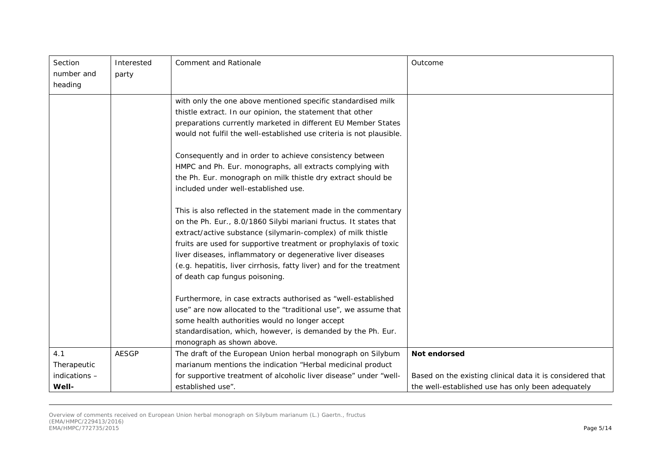| Section       | Interested   | Comment and Rationale                                                | Outcome                                                   |
|---------------|--------------|----------------------------------------------------------------------|-----------------------------------------------------------|
| number and    | party        |                                                                      |                                                           |
| heading       |              |                                                                      |                                                           |
|               |              | with only the one above mentioned specific standardised milk         |                                                           |
|               |              | thistle extract. In our opinion, the statement that other            |                                                           |
|               |              | preparations currently marketed in different EU Member States        |                                                           |
|               |              | would not fulfil the well-established use criteria is not plausible. |                                                           |
|               |              | Consequently and in order to achieve consistency between             |                                                           |
|               |              | HMPC and Ph. Eur. monographs, all extracts complying with            |                                                           |
|               |              | the Ph. Eur. monograph on milk thistle dry extract should be         |                                                           |
|               |              | included under well-established use.                                 |                                                           |
|               |              | This is also reflected in the statement made in the commentary       |                                                           |
|               |              | on the Ph. Eur., 8.0/1860 Silybi mariani fructus. It states that     |                                                           |
|               |              | extract/active substance (silymarin-complex) of milk thistle         |                                                           |
|               |              | fruits are used for supportive treatment or prophylaxis of toxic     |                                                           |
|               |              | liver diseases, inflammatory or degenerative liver diseases          |                                                           |
|               |              | (e.g. hepatitis, liver cirrhosis, fatty liver) and for the treatment |                                                           |
|               |              | of death cap fungus poisoning.                                       |                                                           |
|               |              | Furthermore, in case extracts authorised as "well-established        |                                                           |
|               |              | use" are now allocated to the "traditional use", we assume that      |                                                           |
|               |              | some health authorities would no longer accept                       |                                                           |
|               |              | standardisation, which, however, is demanded by the Ph. Eur.         |                                                           |
|               |              | monograph as shown above.                                            |                                                           |
| 4.1           | <b>AESGP</b> | The draft of the European Union herbal monograph on Silybum          | Not endorsed                                              |
| Therapeutic   |              | marianum mentions the indication "Herbal medicinal product           |                                                           |
| indications - |              | for supportive treatment of alcoholic liver disease" under "well-    | Based on the existing clinical data it is considered that |
| Well-         |              | established use".                                                    | the well-established use has only been adequately         |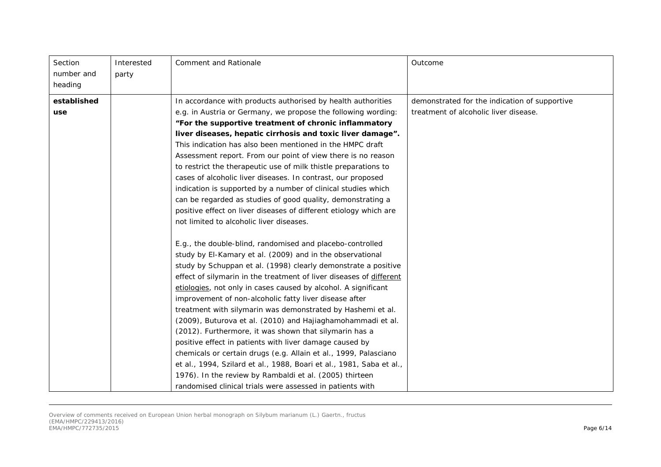| Section<br>number and<br>heading | Interested<br>party | <b>Comment and Rationale</b>                                                                                                                                                                                                                                                                                                                                                                                                                                                                                                                                                                                                                                                                                                                                                                                                                                                                                       | Outcome                                                                                |
|----------------------------------|---------------------|--------------------------------------------------------------------------------------------------------------------------------------------------------------------------------------------------------------------------------------------------------------------------------------------------------------------------------------------------------------------------------------------------------------------------------------------------------------------------------------------------------------------------------------------------------------------------------------------------------------------------------------------------------------------------------------------------------------------------------------------------------------------------------------------------------------------------------------------------------------------------------------------------------------------|----------------------------------------------------------------------------------------|
| established<br>use               |                     | In accordance with products authorised by health authorities<br>e.g. in Austria or Germany, we propose the following wording:<br>"For the supportive treatment of chronic inflammatory<br>liver diseases, hepatic cirrhosis and toxic liver damage".<br>This indication has also been mentioned in the HMPC draft<br>Assessment report. From our point of view there is no reason<br>to restrict the therapeutic use of milk thistle preparations to<br>cases of alcoholic liver diseases. In contrast, our proposed<br>indication is supported by a number of clinical studies which<br>can be regarded as studies of good quality, demonstrating a<br>positive effect on liver diseases of different etiology which are<br>not limited to alcoholic liver diseases.                                                                                                                                              | demonstrated for the indication of supportive<br>treatment of alcoholic liver disease. |
|                                  |                     | E.g., the double-blind, randomised and placebo-controlled<br>study by El-Kamary et al. (2009) and in the observational<br>study by Schuppan et al. (1998) clearly demonstrate a positive<br>effect of silymarin in the treatment of liver diseases of different<br>etiologies, not only in cases caused by alcohol. A significant<br>improvement of non-alcoholic fatty liver disease after<br>treatment with silymarin was demonstrated by Hashemi et al.<br>(2009), Buturova et al. (2010) and Hajiaghamohammadi et al.<br>(2012). Furthermore, it was shown that silymarin has a<br>positive effect in patients with liver damage caused by<br>chemicals or certain drugs (e.g. Allain et al., 1999, Palasciano<br>et al., 1994, Szilard et al., 1988, Boari et al., 1981, Saba et al.,<br>1976). In the review by Rambaldi et al. (2005) thirteen<br>randomised clinical trials were assessed in patients with |                                                                                        |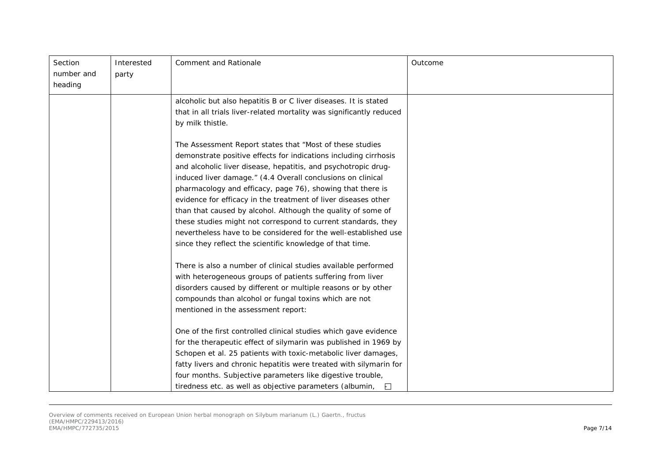| Section<br>number and | Interested | Comment and Rationale                                                                                                         | Outcome |
|-----------------------|------------|-------------------------------------------------------------------------------------------------------------------------------|---------|
| heading               | party      |                                                                                                                               |         |
|                       |            | alcoholic but also hepatitis B or C liver diseases. It is stated                                                              |         |
|                       |            | that in all trials liver-related mortality was significantly reduced                                                          |         |
|                       |            | by milk thistle.                                                                                                              |         |
|                       |            | The Assessment Report states that "Most of these studies                                                                      |         |
|                       |            | demonstrate positive effects for indications including cirrhosis                                                              |         |
|                       |            | and alcoholic liver disease, hepatitis, and psychotropic drug-                                                                |         |
|                       |            | induced liver damage." (4.4 Overall conclusions on clinical                                                                   |         |
|                       |            | pharmacology and efficacy, page 76), showing that there is                                                                    |         |
|                       |            | evidence for efficacy in the treatment of liver diseases other                                                                |         |
|                       |            | than that caused by alcohol. Although the quality of some of<br>these studies might not correspond to current standards, they |         |
|                       |            | nevertheless have to be considered for the well-established use                                                               |         |
|                       |            | since they reflect the scientific knowledge of that time.                                                                     |         |
|                       |            |                                                                                                                               |         |
|                       |            | There is also a number of clinical studies available performed                                                                |         |
|                       |            | with heterogeneous groups of patients suffering from liver                                                                    |         |
|                       |            | disorders caused by different or multiple reasons or by other                                                                 |         |
|                       |            | compounds than alcohol or fungal toxins which are not                                                                         |         |
|                       |            | mentioned in the assessment report:                                                                                           |         |
|                       |            | One of the first controlled clinical studies which gave evidence                                                              |         |
|                       |            | for the therapeutic effect of silymarin was published in 1969 by                                                              |         |
|                       |            | Schopen et al. 25 patients with toxic-metabolic liver damages,                                                                |         |
|                       |            | fatty livers and chronic hepatitis were treated with silymarin for                                                            |         |
|                       |            | four months. Subjective parameters like digestive trouble,                                                                    |         |
|                       |            | tiredness etc. as well as objective parameters (albumin,<br>Ð                                                                 |         |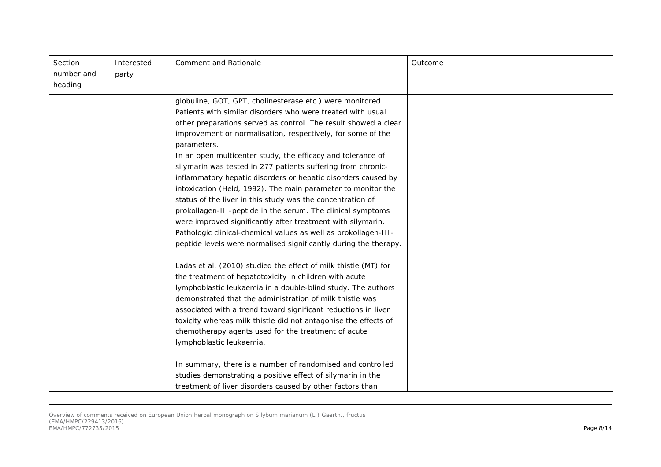| Section    | Interested | Comment and Rationale                                            | Outcome |
|------------|------------|------------------------------------------------------------------|---------|
| number and | party      |                                                                  |         |
| heading    |            |                                                                  |         |
|            |            | globuline, GOT, GPT, cholinesterase etc.) were monitored.        |         |
|            |            | Patients with similar disorders who were treated with usual      |         |
|            |            | other preparations served as control. The result showed a clear  |         |
|            |            | improvement or normalisation, respectively, for some of the      |         |
|            |            | parameters.                                                      |         |
|            |            | In an open multicenter study, the efficacy and tolerance of      |         |
|            |            | silymarin was tested in 277 patients suffering from chronic-     |         |
|            |            | inflammatory hepatic disorders or hepatic disorders caused by    |         |
|            |            | intoxication (Held, 1992). The main parameter to monitor the     |         |
|            |            | status of the liver in this study was the concentration of       |         |
|            |            | prokollagen-III-peptide in the serum. The clinical symptoms      |         |
|            |            | were improved significantly after treatment with silymarin.      |         |
|            |            | Pathologic clinical-chemical values as well as prokollagen-III-  |         |
|            |            | peptide levels were normalised significantly during the therapy. |         |
|            |            | Ladas et al. (2010) studied the effect of milk thistle (MT) for  |         |
|            |            | the treatment of hepatotoxicity in children with acute           |         |
|            |            | lymphoblastic leukaemia in a double-blind study. The authors     |         |
|            |            | demonstrated that the administration of milk thistle was         |         |
|            |            | associated with a trend toward significant reductions in liver   |         |
|            |            | toxicity whereas milk thistle did not antagonise the effects of  |         |
|            |            | chemotherapy agents used for the treatment of acute              |         |
|            |            | lymphoblastic leukaemia.                                         |         |
|            |            | In summary, there is a number of randomised and controlled       |         |
|            |            | studies demonstrating a positive effect of silymarin in the      |         |
|            |            | treatment of liver disorders caused by other factors than        |         |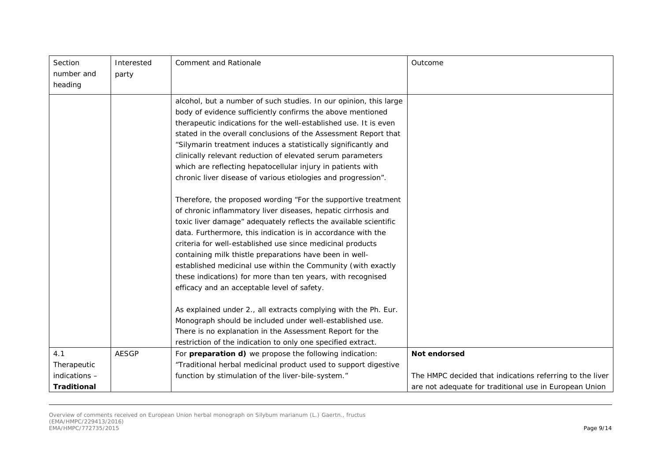| Section            | Interested   | Comment and Rationale                                             | Outcome                                                  |
|--------------------|--------------|-------------------------------------------------------------------|----------------------------------------------------------|
| number and         | party        |                                                                   |                                                          |
| heading            |              |                                                                   |                                                          |
|                    |              | alcohol, but a number of such studies. In our opinion, this large |                                                          |
|                    |              | body of evidence sufficiently confirms the above mentioned        |                                                          |
|                    |              | therapeutic indications for the well-established use. It is even  |                                                          |
|                    |              | stated in the overall conclusions of the Assessment Report that   |                                                          |
|                    |              | "Silymarin treatment induces a statistically significantly and    |                                                          |
|                    |              | clinically relevant reduction of elevated serum parameters        |                                                          |
|                    |              | which are reflecting hepatocellular injury in patients with       |                                                          |
|                    |              | chronic liver disease of various etiologies and progression".     |                                                          |
|                    |              | Therefore, the proposed wording "For the supportive treatment     |                                                          |
|                    |              | of chronic inflammatory liver diseases, hepatic cirrhosis and     |                                                          |
|                    |              | toxic liver damage" adequately reflects the available scientific  |                                                          |
|                    |              | data. Furthermore, this indication is in accordance with the      |                                                          |
|                    |              | criteria for well-established use since medicinal products        |                                                          |
|                    |              | containing milk thistle preparations have been in well-           |                                                          |
|                    |              | established medicinal use within the Community (with exactly      |                                                          |
|                    |              | these indications) for more than ten years, with recognised       |                                                          |
|                    |              | efficacy and an acceptable level of safety.                       |                                                          |
|                    |              | As explained under 2., all extracts complying with the Ph. Eur.   |                                                          |
|                    |              | Monograph should be included under well-established use.          |                                                          |
|                    |              | There is no explanation in the Assessment Report for the          |                                                          |
|                    |              | restriction of the indication to only one specified extract.      |                                                          |
| 4.1                | <b>AESGP</b> | For preparation d) we propose the following indication:           | Not endorsed                                             |
| Therapeutic        |              | "Traditional herbal medicinal product used to support digestive   |                                                          |
| indications -      |              | function by stimulation of the liver-bile-system."                | The HMPC decided that indications referring to the liver |
| <b>Traditional</b> |              |                                                                   | are not adequate for traditional use in European Union   |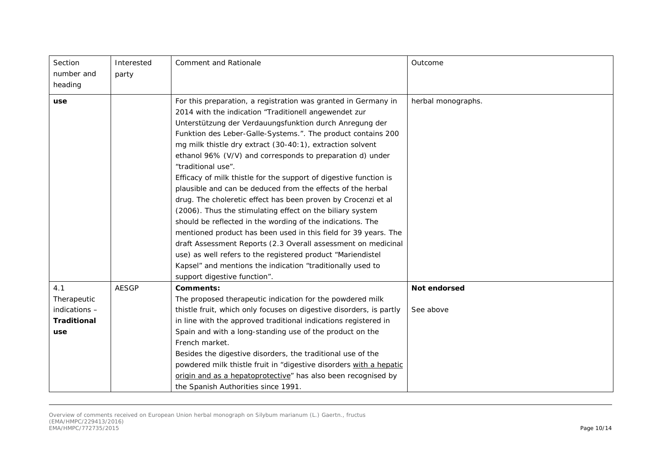| Section<br>number and<br>heading | Interested<br>party | <b>Comment and Rationale</b>                                                                                                                                                                                                                                                                                                                                                                                                                                                                                                                                                                                                                                                                                                                                                                                                                                                                                                                                                                        | Outcome            |
|----------------------------------|---------------------|-----------------------------------------------------------------------------------------------------------------------------------------------------------------------------------------------------------------------------------------------------------------------------------------------------------------------------------------------------------------------------------------------------------------------------------------------------------------------------------------------------------------------------------------------------------------------------------------------------------------------------------------------------------------------------------------------------------------------------------------------------------------------------------------------------------------------------------------------------------------------------------------------------------------------------------------------------------------------------------------------------|--------------------|
| use                              |                     | For this preparation, a registration was granted in Germany in<br>2014 with the indication "Traditionell angewendet zur<br>Unterstützung der Verdauungsfunktion durch Anregung der<br>Funktion des Leber-Galle-Systems.". The product contains 200<br>mg milk thistle dry extract (30-40:1), extraction solvent<br>ethanol 96% (V/V) and corresponds to preparation d) under<br>"traditional use".<br>Efficacy of milk thistle for the support of digestive function is<br>plausible and can be deduced from the effects of the herbal<br>drug. The choleretic effect has been proven by Crocenzi et al<br>(2006). Thus the stimulating effect on the biliary system<br>should be reflected in the wording of the indications. The<br>mentioned product has been used in this field for 39 years. The<br>draft Assessment Reports (2.3 Overall assessment on medicinal<br>use) as well refers to the registered product "Mariendistel<br>Kapsel" and mentions the indication "traditionally used to | herbal monographs. |
|                                  |                     | support digestive function".                                                                                                                                                                                                                                                                                                                                                                                                                                                                                                                                                                                                                                                                                                                                                                                                                                                                                                                                                                        |                    |
| 4.1                              | <b>AESGP</b>        | Comments:                                                                                                                                                                                                                                                                                                                                                                                                                                                                                                                                                                                                                                                                                                                                                                                                                                                                                                                                                                                           | Not endorsed       |
| Therapeutic<br>indications -     |                     | The proposed therapeutic indication for the powdered milk<br>thistle fruit, which only focuses on digestive disorders, is partly                                                                                                                                                                                                                                                                                                                                                                                                                                                                                                                                                                                                                                                                                                                                                                                                                                                                    | See above          |
| <b>Traditional</b>               |                     | in line with the approved traditional indications registered in                                                                                                                                                                                                                                                                                                                                                                                                                                                                                                                                                                                                                                                                                                                                                                                                                                                                                                                                     |                    |
| use                              |                     | Spain and with a long-standing use of the product on the                                                                                                                                                                                                                                                                                                                                                                                                                                                                                                                                                                                                                                                                                                                                                                                                                                                                                                                                            |                    |
|                                  |                     | French market.                                                                                                                                                                                                                                                                                                                                                                                                                                                                                                                                                                                                                                                                                                                                                                                                                                                                                                                                                                                      |                    |
|                                  |                     | Besides the digestive disorders, the traditional use of the                                                                                                                                                                                                                                                                                                                                                                                                                                                                                                                                                                                                                                                                                                                                                                                                                                                                                                                                         |                    |
|                                  |                     | powdered milk thistle fruit in "digestive disorders with a hepatic                                                                                                                                                                                                                                                                                                                                                                                                                                                                                                                                                                                                                                                                                                                                                                                                                                                                                                                                  |                    |
|                                  |                     | origin and as a hepatoprotective" has also been recognised by                                                                                                                                                                                                                                                                                                                                                                                                                                                                                                                                                                                                                                                                                                                                                                                                                                                                                                                                       |                    |
|                                  |                     | the Spanish Authorities since 1991.                                                                                                                                                                                                                                                                                                                                                                                                                                                                                                                                                                                                                                                                                                                                                                                                                                                                                                                                                                 |                    |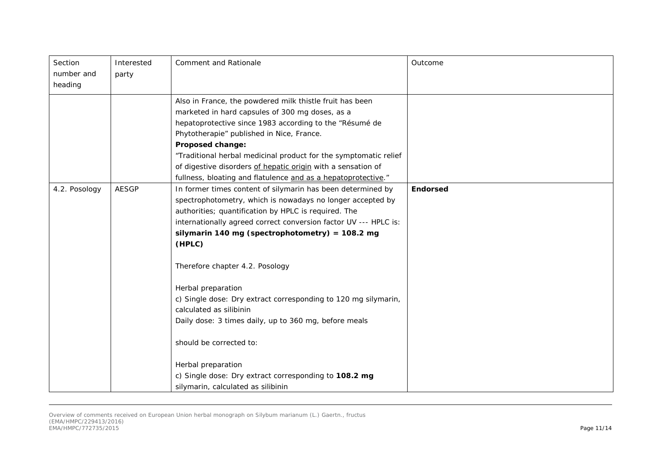| Section<br>number and<br>heading | Interested<br>party | Comment and Rationale                                                                                                                                                                                                                                                                                                                                                                                                                               | Outcome         |
|----------------------------------|---------------------|-----------------------------------------------------------------------------------------------------------------------------------------------------------------------------------------------------------------------------------------------------------------------------------------------------------------------------------------------------------------------------------------------------------------------------------------------------|-----------------|
|                                  |                     | Also in France, the powdered milk thistle fruit has been<br>marketed in hard capsules of 300 mg doses, as a<br>hepatoprotective since 1983 according to the "Résumé de<br>Phytotherapie" published in Nice, France.<br><b>Proposed change:</b><br>"Traditional herbal medicinal product for the symptomatic relief<br>of digestive disorders of hepatic origin with a sensation of<br>fullness, bloating and flatulence and as a hepatoprotective." |                 |
| 4.2. Posology                    | <b>AESGP</b>        | In former times content of silymarin has been determined by<br>spectrophotometry, which is nowadays no longer accepted by<br>authorities; quantification by HPLC is required. The<br>internationally agreed correct conversion factor UV --- HPLC is:<br>silymarin 140 mg (spectrophotometry) = $108.2$ mg<br>(HPLC)<br>Therefore chapter 4.2. Posology                                                                                             | <b>Endorsed</b> |
|                                  |                     | Herbal preparation<br>c) Single dose: Dry extract corresponding to 120 mg silymarin,<br>calculated as silibinin<br>Daily dose: 3 times daily, up to 360 mg, before meals<br>should be corrected to:<br>Herbal preparation<br>c) Single dose: Dry extract corresponding to 108.2 mg<br>silymarin, calculated as silibinin                                                                                                                            |                 |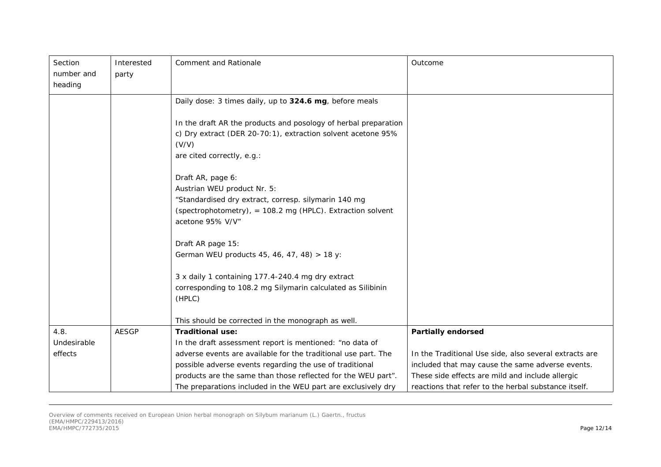| Section<br>number and | Interested<br>party | <b>Comment and Rationale</b>                                                     | Outcome                                                |
|-----------------------|---------------------|----------------------------------------------------------------------------------|--------------------------------------------------------|
| heading               |                     |                                                                                  |                                                        |
|                       |                     | Daily dose: 3 times daily, up to 324.6 mg, before meals                          |                                                        |
|                       |                     | In the draft AR the products and posology of herbal preparation                  |                                                        |
|                       |                     | c) Dry extract (DER 20-70:1), extraction solvent acetone 95%                     |                                                        |
|                       |                     | (V/V)                                                                            |                                                        |
|                       |                     | are cited correctly, e.g.:                                                       |                                                        |
|                       |                     | Draft AR, page 6:                                                                |                                                        |
|                       |                     | Austrian WEU product Nr. 5:                                                      |                                                        |
|                       |                     | "Standardised dry extract, corresp. silymarin 140 mg                             |                                                        |
|                       |                     | (spectrophotometry), = $108.2$ mg (HPLC). Extraction solvent<br>acetone 95% V/V" |                                                        |
|                       |                     | Draft AR page 15:                                                                |                                                        |
|                       |                     | German WEU products 45, 46, 47, 48) > 18 y:                                      |                                                        |
|                       |                     | 3 x daily 1 containing 177.4-240.4 mg dry extract                                |                                                        |
|                       |                     | corresponding to 108.2 mg Silymarin calculated as Silibinin                      |                                                        |
|                       |                     | (HPLC)                                                                           |                                                        |
|                       |                     | This should be corrected in the monograph as well.                               |                                                        |
| 4.8.                  | <b>AESGP</b>        | <b>Traditional use:</b>                                                          | <b>Partially endorsed</b>                              |
| Undesirable           |                     | In the draft assessment report is mentioned: "no data of                         |                                                        |
| effects               |                     | adverse events are available for the traditional use part. The                   | In the Traditional Use side, also several extracts are |
|                       |                     | possible adverse events regarding the use of traditional                         | included that may cause the same adverse events.       |
|                       |                     | products are the same than those reflected for the WEU part".                    | These side effects are mild and include allergic       |
|                       |                     | The preparations included in the WEU part are exclusively dry                    | reactions that refer to the herbal substance itself.   |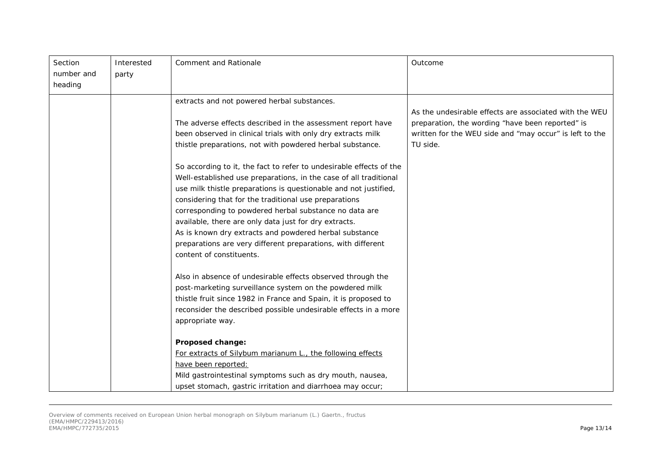| Section    | Interested | Comment and Rationale                                               | Outcome                                                 |
|------------|------------|---------------------------------------------------------------------|---------------------------------------------------------|
| number and | party      |                                                                     |                                                         |
| heading    |            |                                                                     |                                                         |
|            |            | extracts and not powered herbal substances.                         |                                                         |
|            |            |                                                                     | As the undesirable effects are associated with the WEU  |
|            |            | The adverse effects described in the assessment report have         | preparation, the wording "have been reported" is        |
|            |            | been observed in clinical trials with only dry extracts milk        | written for the WEU side and "may occur" is left to the |
|            |            | thistle preparations, not with powdered herbal substance.           | TU side.                                                |
|            |            | So according to it, the fact to refer to undesirable effects of the |                                                         |
|            |            | Well-established use preparations, in the case of all traditional   |                                                         |
|            |            | use milk thistle preparations is questionable and not justified,    |                                                         |
|            |            | considering that for the traditional use preparations               |                                                         |
|            |            | corresponding to powdered herbal substance no data are              |                                                         |
|            |            | available, there are only data just for dry extracts.               |                                                         |
|            |            | As is known dry extracts and powdered herbal substance              |                                                         |
|            |            | preparations are very different preparations, with different        |                                                         |
|            |            | content of constituents.                                            |                                                         |
|            |            | Also in absence of undesirable effects observed through the         |                                                         |
|            |            | post-marketing surveillance system on the powdered milk             |                                                         |
|            |            | thistle fruit since 1982 in France and Spain, it is proposed to     |                                                         |
|            |            | reconsider the described possible undesirable effects in a more     |                                                         |
|            |            | appropriate way.                                                    |                                                         |
|            |            | Proposed change:                                                    |                                                         |
|            |            | For extracts of Silybum marianum L., the following effects          |                                                         |
|            |            | have been reported:                                                 |                                                         |
|            |            | Mild gastrointestinal symptoms such as dry mouth, nausea,           |                                                         |
|            |            | upset stomach, gastric irritation and diarrhoea may occur;          |                                                         |